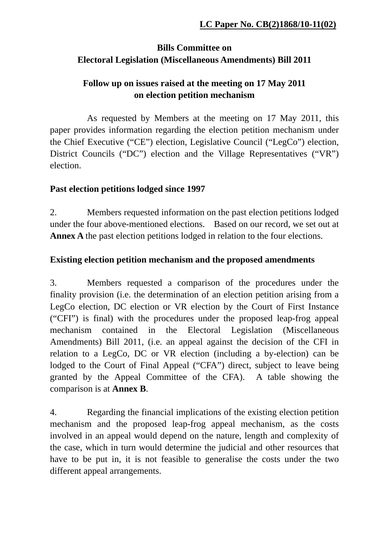## **Bills Committee on Electoral Legislation (Miscellaneous Amendments) Bill 2011**

## **Follow up on issues raised at the meeting on 17 May 2011 on election petition mechanism**

 As requested by Members at the meeting on 17 May 2011, this paper provides information regarding the election petition mechanism under the Chief Executive ("CE") election, Legislative Council ("LegCo") election, District Councils ("DC") election and the Village Representatives ("VR") election.

### **Past election petitions lodged since 1997**

2. Members requested information on the past election petitions lodged under the four above-mentioned elections. Based on our record, we set out at **Annex A** the past election petitions lodged in relation to the four elections.

### **Existing election petition mechanism and the proposed amendments**

3. Members requested a comparison of the procedures under the finality provision (i.e. the determination of an election petition arising from a LegCo election, DC election or VR election by the Court of First Instance ("CFI") is final) with the procedures under the proposed leap-frog appeal mechanism contained in the Electoral Legislation (Miscellaneous Amendments) Bill 2011, (i.e. an appeal against the decision of the CFI in relation to a LegCo, DC or VR election (including a by-election) can be lodged to the Court of Final Appeal ("CFA") direct, subject to leave being granted by the Appeal Committee of the CFA). A table showing the comparison is at **Annex B**.

4. Regarding the financial implications of the existing election petition mechanism and the proposed leap-frog appeal mechanism, as the costs involved in an appeal would depend on the nature, length and complexity of the case, which in turn would determine the judicial and other resources that have to be put in, it is not feasible to generalise the costs under the two different appeal arrangements.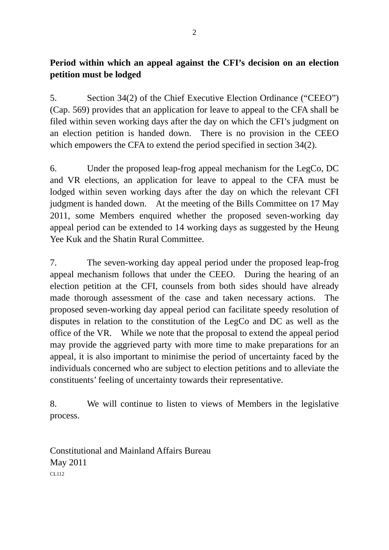### **Period within which an appeal against the CFI's decision on an election petition must be lodged**

5. Section 34(2) of the Chief Executive Election Ordinance ("CEEO") (Cap. 569) provides that an application for leave to appeal to the CFA shall be filed within seven working days after the day on which the CFI's judgment on an election petition is handed down. There is no provision in the CEEO which empowers the CFA to extend the period specified in section 34(2).

6. Under the proposed leap-frog appeal mechanism for the LegCo, DC and VR elections, an application for leave to appeal to the CFA must be lodged within seven working days after the day on which the relevant CFI judgment is handed down. At the meeting of the Bills Committee on 17 May 2011, some Members enquired whether the proposed seven-working day appeal period can be extended to 14 working days as suggested by the Heung Yee Kuk and the Shatin Rural Committee.

7. The seven-working day appeal period under the proposed leap-frog appeal mechanism follows that under the CEEO. During the hearing of an election petition at the CFI, counsels from both sides should have already made thorough assessment of the case and taken necessary actions. The proposed seven-working day appeal period can facilitate speedy resolution of disputes in relation to the constitution of the LegCo and DC as well as the office of the VR. While we note that the proposal to extend the appeal period may provide the aggrieved party with more time to make preparations for an appeal, it is also important to minimise the period of uncertainty faced by the individuals concerned who are subject to election petitions and to alleviate the constituents' feeling of uncertainty towards their representative.

8. We will continue to listen to views of Members in the legislative process.

Constitutional and Mainland Affairs Bureau May 2011 CL112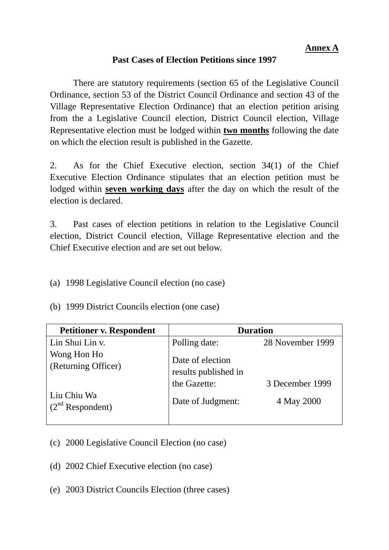#### **Annex A**

### **Past Cases of Election Petitions since 1997**

 There are statutory requirements (section 65 of the Legislative Council Ordinance, section 53 of the District Council Ordinance and section 43 of the Village Representative Election Ordinance) that an election petition arising from the a Legislative Council election, District Council election, Village Representative election must be lodged within **two months** following the date on which the election result is published in the Gazette.

2. As for the Chief Executive election, section 34(1) of the Chief Executive Election Ordinance stipulates that an election petition must be lodged within **seven working days** after the day on which the result of the election is declared.

3. Past cases of election petitions in relation to the Legislative Council election, District Council election, Village Representative election and the Chief Executive election and are set out below.

(a) 1998 Legislative Council election (no case)

(b) 1999 District Councils election (one case)

| <b>Petitioner v. Respondent</b>    | <b>Duration</b>                          |                  |
|------------------------------------|------------------------------------------|------------------|
| Lin Shui Lin v.                    | Polling date:                            | 28 November 1999 |
| Wong Hon Ho<br>(Returning Officer) | Date of election<br>results published in |                  |
|                                    | the Gazette:                             | 3 December 1999  |
| Liu Chiu Wa<br>$(2nd$ Respondent)  | Date of Judgment:                        | 4 May 2000       |

- (c) 2000 Legislative Council Election (no case)
- (d) 2002 Chief Executive election (no case)
- (e) 2003 District Councils Election (three cases)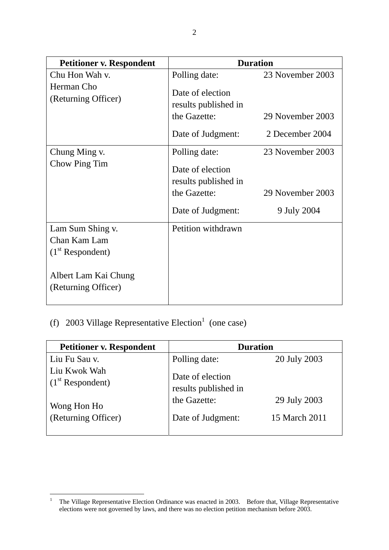| <b>Petitioner v. Respondent</b>                        | <b>Duration</b>                                           |                  |
|--------------------------------------------------------|-----------------------------------------------------------|------------------|
| Chu Hon Wah v.<br>Herman Cho                           | Polling date:<br>Date of election                         | 23 November 2003 |
| (Returning Officer)                                    | results published in                                      |                  |
|                                                        | the Gazette:                                              | 29 November 2003 |
|                                                        | Date of Judgment:                                         | 2 December 2004  |
| Chung Ming v.<br>Chow Ping Tim                         | Polling date:<br>Date of election<br>results published in | 23 November 2003 |
|                                                        | the Gazette:                                              | 29 November 2003 |
|                                                        | Date of Judgment:                                         | 9 July 2004      |
| Lam Sum Shing v.<br>Chan Kam Lam<br>$(1st$ Respondent) | Petition withdrawn                                        |                  |
| Albert Lam Kai Chung<br>(Returning Officer)            |                                                           |                  |

# (f) 2003 Village Representative Election<sup>1</sup> (one case)

| <b>Petitioner v. Respondent</b>    | <b>Duration</b>                          |               |
|------------------------------------|------------------------------------------|---------------|
| Liu Fu Sau v.                      | Polling date:                            | 20 July 2003  |
| Liu Kwok Wah<br>$(1st$ Respondent) | Date of election<br>results published in |               |
| Wong Hon Ho                        | the Gazette:                             | 29 July 2003  |
| (Returning Officer)                | Date of Judgment:                        | 15 March 2011 |

 $\frac{1}{1}$  The Village Representative Election Ordinance was enacted in 2003. Before that, Village Representative elections were not governed by laws, and there was no election petition mechanism before 2003.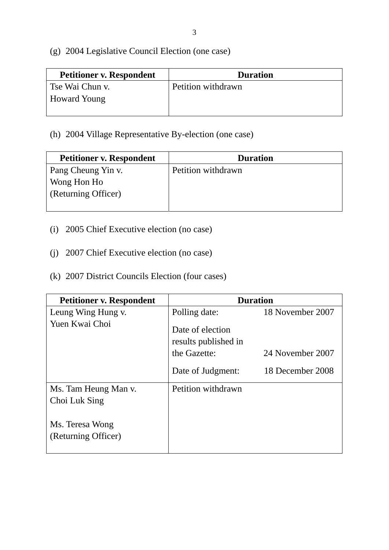- 3
- (g) 2004 Legislative Council Election (one case)

| <b>Petitioner v. Respondent</b> | <b>Duration</b>    |
|---------------------------------|--------------------|
| Tse Wai Chun v.                 | Petition withdrawn |
| <b>Howard Young</b>             |                    |
|                                 |                    |

# (h) 2004 Village Representative By-election (one case)

| <b>Petitioner v. Respondent</b> | <b>Duration</b>    |
|---------------------------------|--------------------|
| Pang Cheung Yin v.              | Petition withdrawn |
| Wong Hon Ho                     |                    |
| (Returning Officer)             |                    |
|                                 |                    |

- (i) 2005 Chief Executive election (no case)
- (j) 2007 Chief Executive election (no case)
- (k) 2007 District Councils Election (four cases)

| <b>Petitioner v. Respondent</b> | <b>Duration</b>                          |                  |
|---------------------------------|------------------------------------------|------------------|
| Leung Wing Hung v.              | Polling date:                            | 18 November 2007 |
| Yuen Kwai Choi                  | Date of election<br>results published in |                  |
|                                 | the Gazette:                             | 24 November 2007 |
|                                 | Date of Judgment:                        | 18 December 2008 |
| Ms. Tam Heung Man v.            | Petition withdrawn                       |                  |
| Choi Luk Sing                   |                                          |                  |
| Ms. Teresa Wong                 |                                          |                  |
| (Returning Officer)             |                                          |                  |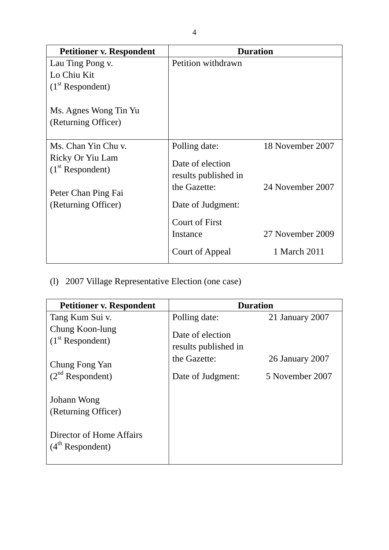| <b>Petitioner v. Respondent</b>                                                                             | <b>Duration</b>                                                                                                         |                                      |
|-------------------------------------------------------------------------------------------------------------|-------------------------------------------------------------------------------------------------------------------------|--------------------------------------|
| Lau Ting Pong v.<br>Lo Chiu Kit<br>$(1st$ Respondent)<br>Ms. Agnes Wong Tin Yu<br>(Returning Officer)       | Petition withdrawn                                                                                                      |                                      |
| Ms. Chan Yin Chu v.<br>Ricky Or Yiu Lam<br>$(1st$ Respondent)<br>Peter Chan Ping Fai<br>(Returning Officer) | Polling date:<br>Date of election<br>results published in<br>the Gazette:<br>Date of Judgment:<br><b>Court of First</b> | 18 November 2007<br>24 November 2007 |
|                                                                                                             | Instance<br><b>Court of Appeal</b>                                                                                      | 27 November 2009<br>1 March 2011     |

(l) 2007 Village Representative Election (one case)

| <b>Petitioner v. Respondent</b>                | <b>Duration</b>                          |                 |
|------------------------------------------------|------------------------------------------|-----------------|
| Tang Kum Sui v.                                | Polling date:                            | 21 January 2007 |
| Chung Koon-lung<br>$(1st$ Respondent)          | Date of election<br>results published in |                 |
| Chung Fong Yan                                 | the Gazette:                             | 26 January 2007 |
| $(2nd$ Respondent)                             | Date of Judgment:                        | 5 November 2007 |
| Johann Wong                                    |                                          |                 |
| (Returning Officer)                            |                                          |                 |
| Director of Home Affairs<br>$(4th$ Respondent) |                                          |                 |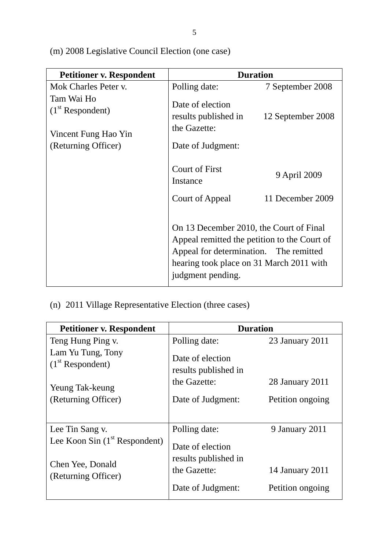| <b>Petitioner v. Respondent</b>                          | <b>Duration</b>                                                                                                                                                                                    |                   |
|----------------------------------------------------------|----------------------------------------------------------------------------------------------------------------------------------------------------------------------------------------------------|-------------------|
| Mok Charles Peter v.                                     | Polling date:                                                                                                                                                                                      | 7 September 2008  |
| Tam Wai Ho<br>$(1st$ Respondent)<br>Vincent Fung Hao Yin | Date of election<br>results published in<br>the Gazette:                                                                                                                                           | 12 September 2008 |
| (Returning Officer)                                      | Date of Judgment:                                                                                                                                                                                  |                   |
|                                                          | <b>Court of First</b><br>Instance                                                                                                                                                                  | 9 April 2009      |
|                                                          | Court of Appeal                                                                                                                                                                                    | 11 December 2009  |
|                                                          | On 13 December 2010, the Court of Final<br>Appeal remitted the petition to the Court of<br>Appeal for determination. The remitted<br>hearing took place on 31 March 2011 with<br>judgment pending. |                   |

(n) 2011 Village Representative Election (three cases)

| <b>Petitioner v. Respondent</b>         | <b>Duration</b>                          |                  |
|-----------------------------------------|------------------------------------------|------------------|
| Teng Hung Ping v.                       | Polling date:                            | 23 January 2011  |
| Lam Yu Tung, Tony<br>$(1st$ Respondent) | Date of election<br>results published in |                  |
| Yeung Tak-keung                         | the Gazette:                             | 28 January 2011  |
| (Returning Officer)                     | Date of Judgment:                        | Petition ongoing |
| Lee Tin Sang v.                         | Polling date:                            | 9 January 2011   |
| Lee Koon Sin $(1st$ Respondent)         | Date of election<br>results published in |                  |
| Chen Yee, Donald<br>(Returning Officer) | the Gazette:                             | 14 January 2011  |
|                                         | Date of Judgment:                        | Petition ongoing |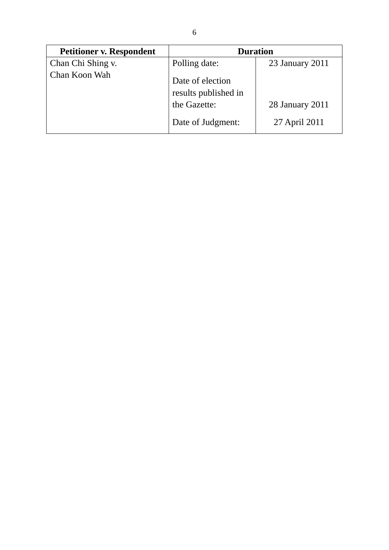| <b>Petitioner v. Respondent</b> | <b>Duration</b>                                                               |                                  |
|---------------------------------|-------------------------------------------------------------------------------|----------------------------------|
| Chan Chi Shing v.               | Polling date:                                                                 | 23 January 2011                  |
| Chan Koon Wah                   | Date of election<br>results published in<br>the Gazette:<br>Date of Judgment: | 28 January 2011<br>27 April 2011 |